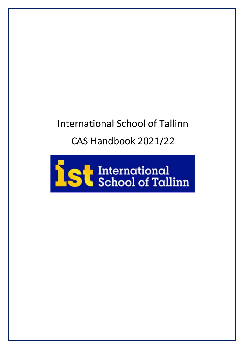# International School of Tallinn CAS Handbook 2021/22

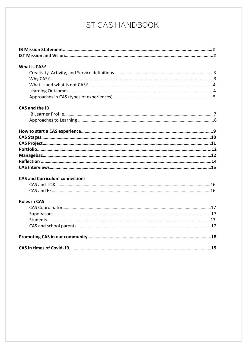# IST CAS HANDBOOK

| <b>What is CAS?</b>                   |  |
|---------------------------------------|--|
|                                       |  |
|                                       |  |
|                                       |  |
|                                       |  |
|                                       |  |
| <b>CAS and the IB</b>                 |  |
|                                       |  |
|                                       |  |
|                                       |  |
|                                       |  |
|                                       |  |
|                                       |  |
|                                       |  |
|                                       |  |
|                                       |  |
| <b>CAS and Curriculum connections</b> |  |
|                                       |  |
|                                       |  |
| <b>Roles in CAS</b>                   |  |
|                                       |  |
|                                       |  |
|                                       |  |
|                                       |  |
|                                       |  |
|                                       |  |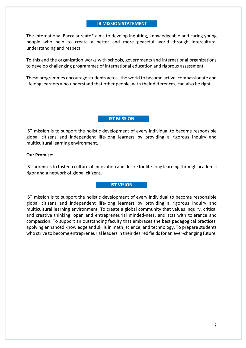#### **IB MISSION STATEMENT**

The International Baccalaureate® aims to develop inquiring, knowledgeable and caring young people who help to create a better and more peaceful world through intercultural understanding and respect.

To this end the organization works with schools, governments and international organizations to develop challenging programmes of international education and rigorous assessment.

These programmes encourage students across the world to become active, compassionate and lifelong learners who understand that other people, with their differences, can also be right.

#### **IST MISSION**

IST mission is to support the holistic development of every individual to become responsible global citizens and independent life-long learners by providing a rigorous inquiry and multicultural learning environment.

#### **Our Promise:**

IST promises to foster a culture of innovation and desire for life-long learning through academic rigor and a network of global citizens.

### **IST VISION**

IST mission is to support the holistic development of every individual to become responsible global citizens and independent life-long learners by providing a rigorous inquiry and multicultural learning environment. To create a global community that values inquiry, critical and creative thinking, open and entrepreneurial minded-ness, and acts with tolerance and compassion. To support an outstanding faculty that embraces the best pedagogical practices, applying enhanced knowledge and skills in math, science, and technology. To prepare students who strive to become entrepreneurial leaders in their desired fields for an ever-changing future.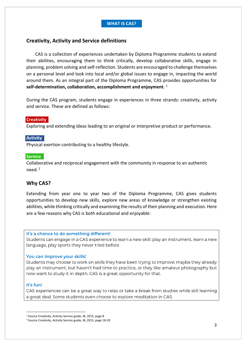# **Creativity, Activity and Service definitions**

CAS is a collection of experiences undertaken by Diploma Programme students to extend their abilities, encouraging them to think critically, develop collaborative skills, engage in planning, problem solving and self-reflection. Students are encouraged to challenge themselves on a personal level and look into local and/or global issues to engage in, impacting the world around them. As an integral part of the Diploma Programme, CAS provides opportunities for **self-determination, collaboration, accomplishment and enjoyment**. 1

During the CAS program, students engage in experiences in three strands: creativity, activity and service. These are defined as follows:

#### **Creativity**

Exploring and extending ideas leading to an original or interpretive product or performance.

# **Activity**

Physical exertion contributing to a healthy lifestyle.

#### **Service**

Collaborative and reciprocal engagement with the community in response to an authentic need.<sup>2</sup>

# **Why CAS?**

Extending from year one to year two of the Diploma Programme, CAS gives students opportunities to develop new skills, explore new areas of knowledge or strengthen existing abilities, while thinking critically and examining the results of their planning and execution. Here are a few reasons why CAS is both educational and enjoyable:

#### It's a chance to do something different!

Students can engage in a CAS experience to learn a new skill: play an instrument, learn a new language, play sports they never tried before.

#### You can improve your skills!

Students may choose to work on skills they have been trying to improve: maybe they already play an instrument, but haven't had time to practice, or they like amateur photography but now want to study it in depth. CAS is a great opportunity for that.

#### It's fun!

CAS experiences can be a great way to relax or take a break from studies while still learning a great deal. Some students even choose to explore meditation in CAS.

<sup>&</sup>lt;sup>1</sup> Source Creativity, Activity Service guide, IB, 2015, page 8

<sup>2</sup> Source Creativity, Activity Service guide, IB, 2015, page 18-20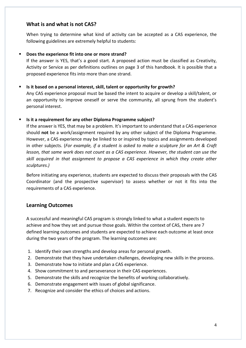# **What is and what is not CAS?**

When trying to determine what kind of activity can be accepted as a CAS experience, the following guidelines are extremely helpful to students:

# ▪ **Does the experience fit into one or more strand?**

If the answer is YES, that's a good start. A proposed action must be classified as Creativity, Activity or Service as per definitions outlines on page 3 of this handbook. It is possible that a proposed experience fits into more than one strand.

# ■ **Is it based on a personal interest, skill, talent or opportunity for growth?**

Any CAS experience proposal must be based the intent to acquire or develop a skill/talent, or an opportunity to improve oneself or serve the community, all sprung from the student's personal interest.

# ▪ **Is it a requirement for any other Diploma Programme subject?**

If the answer is YES, that may be a problem. It's important to understand that a CAS experience should **not** be a work/assignment required by any other subject of the Diploma Programme. However, a CAS experience may be linked to or inspired by topics and assignments developed in other subjects. (*For example, if a student is asked to make a sculpture for an Art & Craft lesson, that same work does not count as a CAS experience. However, the student can use the skill acquired in that assignment to propose a CAS experience in which they create other sculptures.)*

Before initiating any experience, students are expected to discuss their proposals with the CAS Coordinator (and the prospective supervisor) to assess whether or not it fits into the requirements of a CAS experience.

# **Learning Outcomes**

A successful and meaningful CAS program is strongly linked to what a student expects to achieve and how they set and pursue those goals. Within the context of CAS, there are 7 defined learning outcomes and students are expected to achieve each outcome at least once during the two years of the program. The learning outcomes are:

- 1. Identify their own strengths and develop areas for personal growth.
- 2. Demonstrate that they have undertaken challenges, developing new skills in the process.
- 3. Demonstrate how to initiate and plan a CAS experience.
- 4. Show commitment to and perseverance in their CAS experiences.
- 5. Demonstrate the skills and recognize the benefits of working collaboratively.
- 6. Demonstrate engagement with issues of [global significance.](https://gemschicago.libguides.com/ld.php?content_id=41506185)
- 7. Recognize and [consider the ethics of choices and actions.](http://casblogatsis.blogspot.com/2018/03/considering-ethics-of-choices-and.html)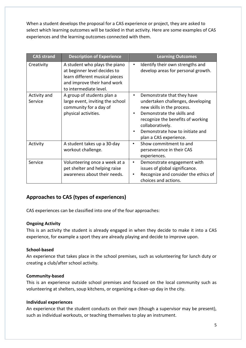When a student develops the proposal for a CAS experience or project, they are asked to select which learning outcomes will be tackled in that activity. Here are some examples of CAS experiences and the learning outcomes connected with them.

| <b>CAS strand</b>       | <b>Description of Experience</b>                                                                                                                         | <b>Learning Outcomes</b>                                                                                                                                                                                                                                       |
|-------------------------|----------------------------------------------------------------------------------------------------------------------------------------------------------|----------------------------------------------------------------------------------------------------------------------------------------------------------------------------------------------------------------------------------------------------------------|
| Creativity              | A student who plays the piano<br>at beginner level decides to<br>learn different musical pieces<br>and improve their hand work<br>to intermediate level. | Identify their own strengths and<br>develop areas for personal growth.                                                                                                                                                                                         |
| Activity and<br>Service | A group of students plan a<br>large event, inviting the school<br>community for a day of<br>physical activities.                                         | Demonstrate that they have<br>$\bullet$<br>undertaken challenges, developing<br>new skills in the process.<br>Demonstrate the skills and<br>recognize the benefits of working<br>collaboratively.<br>Demonstrate how to initiate and<br>plan a CAS experience. |
| Activity                | A student takes up a 30-day<br>workout challenge.                                                                                                        | Show commitment to and<br>٠<br>perseverance in their CAS<br>experiences.                                                                                                                                                                                       |
| Service                 | Volunteering once a week at a<br>pet shelter and helping raise<br>awareness about their needs.                                                           | Demonstrate engagement with<br>٠<br>issues of global significance.<br>Recognize and consider the ethics of<br>choices and actions.                                                                                                                             |

# **Approaches to CAS (types of experiences)**

CAS experiences can be classified into one of the four approaches:

# **Ongoing Activity**

This is an activity the student is already engaged in when they decide to make it into a CAS experience, for example a sport they are already playing and decide to improve upon.

# **School-based**

An experience that takes place in the school premises, such as volunteering for lunch duty or creating a club/after school activity.

# **Community-based**

This is an experience outside school premises and focused on the local community such as volunteering at shelters, soup kitchens, or organizing a clean-up day in the city.

# **Individual experiences**

An experience that the student conducts on their own (though a supervisor may be present), such as individual workouts, or teaching themselves to play an instrument.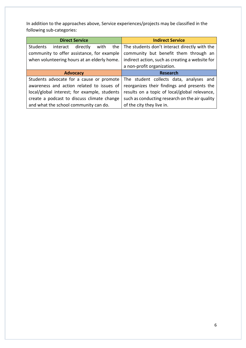In addition to the approaches above, Service experiences/projects may be classified in the following sub-categories:

| <b>Direct Service</b>                                  | <b>Indirect Service</b>                         |
|--------------------------------------------------------|-------------------------------------------------|
| <b>Students</b><br>directly<br>with<br>the<br>interact | The students don't interact directly with the   |
| community to offer assistance, for example             | community but benefit them through an           |
| when volunteering hours at an elderly home.            | indirect action, such as creating a website for |
|                                                        | a non-profit organization.                      |
| <b>Advocacy</b>                                        | <b>Research</b>                                 |
| Students advocate for a cause or promote               | The student collects data, analyses and         |
| awareness and action related to issues of              | reorganizes their findings and presents the     |
| local/global interest; for example, students           | results on a topic of local/global relevance,   |
| create a podcast to discuss climate change             | such as conducting research on the air quality  |
| and what the school community can do.                  | of the city they live in.                       |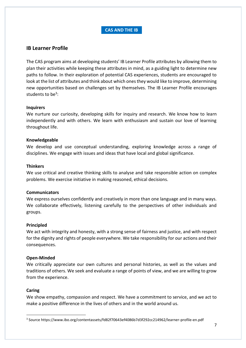# **CAS AND THE IB**

# **IB Learner Profile**

The CAS program aims at developing students' IB Learner Profile attributes by allowing them to plan their activities while keeping these attributes in mind, as a guiding light to determine new paths to follow. In their exploration of potential CAS experiences, students are encouraged to look at the list of attributes and think about which ones they would like to improve, determining new opportunities based on challenges set by themselves. The IB Learner Profile encourages students to be<sup>3</sup>:

# **Inquirers**

We nurture our curiosity, developing skills for inquiry and research. We know how to learn independently and with others. We learn with enthusiasm and sustain our love of learning throughout life.

#### **Knowledgeable**

We develop and use conceptual understanding, exploring knowledge across a range of disciplines. We engage with issues and ideas that have local and global significance.

#### **Thinkers**

We use critical and creative thinking skills to analyse and take responsible action on complex problems. We exercise initiative in making reasoned, ethical decisions.

# **Communicators**

We express ourselves confidently and creatively in more than one language and in many ways. We collaborate effectively, listening carefully to the perspectives of other individuals and groups.

#### **Principled**

We act with integrity and honesty, with a strong sense of fairness and justice, and with respect for the dignity and rights of people everywhere. We take responsibility for our actions and their consequences.

# **Open-Minded**

We critically appreciate our own cultures and personal histories, as well as the values and traditions of others. We seek and evaluate a range of points of view, and we are willing to grow from the experience.

#### **Caring**

We show empathy, compassion and respect. We have a commitment to service, and we act to make a positive difference in the lives of others and in the world around us.

<sup>3</sup> Source https://www.ibo.org/contentassets/fd82f70643ef4086b7d3f292cc214962/learner-profile-en.pdf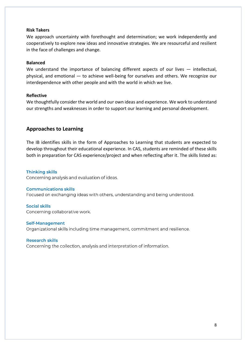#### **Risk Takers**

We approach uncertainty with forethought and determination; we work independently and cooperatively to explore new ideas and innovative strategies. We are resourceful and resilient in the face of challenges and change.

#### **Balanced**

We understand the importance of balancing different aspects of our lives — intellectual, physical, and emotional — to achieve well-being for ourselves and others. We recognize our interdependence with other people and with the world in which we live.

#### **Reflective**

We thoughtfully consider the world and our own ideas and experience. We work to understand our strengths and weaknesses in order to support our learning and personal development.

# **Approaches to Learning**

The IB identifies skills in the form of Approaches to Learning that students are expected to develop throughout their educational experience. In CAS, students are reminded of these skills both in preparation for CAS experience/project and when reflecting after it. The skills listed as:

#### **Thinking skills**

Concerning analysis and evaluation of ideas.

#### **Communications skills**

Focused on exchanging ideas with others, understanding and being understood.

# **Social skills**

Concerning collaborative work.

#### **Self-Management**

Organizational skills including time management, commitment and resilience.

#### **Research skills**

Concerning the collection, analysis and interpretation of information.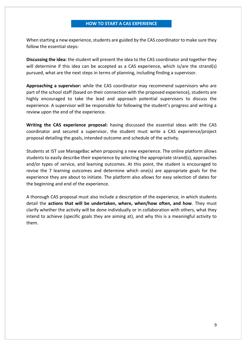#### **HOW TO START A CAS EXPERIENCE**

When starting a new experience, students are guided by the CAS coordinator to make sure they follow the essential steps:

**Discussing the idea:** the student will present the idea to the CAS coordinator and together they will determine if this idea can be accepted as a CAS experience, which is/are the strand(s) pursued, what are the next steps in terms of planning, including finding a supervisor.

**Approaching a supervisor:** while the CAS coordinator may recommend supervisors who are part of the school staff (based on their connection with the proposed experience), students are highly encouraged to take the lead and approach potential supervisors to discuss the experience. A supervisor will be responsible for following the student's progress and writing a review upon the end of the experience.

**Writing the CAS experience proposal:** having discussed the essential ideas with the CAS coordinator and secured a supervisor, the student must write a CAS experience/project proposal detailing the goals, intended outcome and schedule of the activity.

Students at IST use ManageBac when proposing a new experience. The online platform allows students to easily describe their experience by selecting the appropriate strand(s), approaches and/or types of service, and learning outcomes. At this point, the student is encouraged to revise the 7 learning outcomes and determine which one(s) are appropriate goals for the experience they are about to initiate. The platform also allows for easy selection of dates for the beginning and end of the experience.

A thorough CAS proposal must also include a description of the experience, in which students detail the **actions that will be undertaken, where, when/how often, and how**. They must clarify whether the activity will be done individually or in collaboration with others, what they intend to achieve (specific goals they are aiming at), and why this is a meaningful activity to them.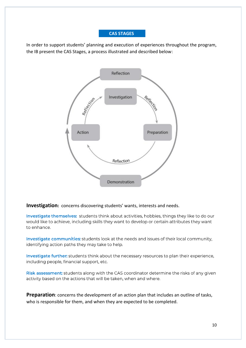# **CAS STAGES**

In order to support students' planning and execution of experiences throughout the program, the IB present the CAS Stages, a process illustrated and described below:



# **Investigation:** concerns discovering students' wants, interests and needs.

Investigate themselves: students think about activities, hobbies, things they like to do our would like to achieve, including skills they want to develop or certain attributes they want to enhance.

Investigate communities: students look at the needs and issues of their local community, identifying action paths they may take to help.

Investigate further: students think about the necessary resources to plan their experience, including people, financial support, etc.

Risk assessment: students along with the CAS coordinator determine the risks of any given activity based on the actions that will be taken, when and where.

**Preparation**: concerns the development of an action plan that includes an outline of tasks, who is responsible for them, and when they are expected to be completed.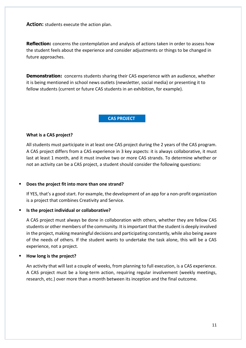Action: students execute the action plan.

**Reflection:** concerns the contemplation and analysis of actions taken in order to assess how the student feels about the experience and consider adjustments or things to be changed in future approaches.

**Demonstration:** concerns students sharing their CAS experience with an audience, whether it is being mentioned in school news outlets (newsletter, social media) or presenting it to fellow students (current or future CAS students in an exhibition, for example).

#### **CAS PROJECT**

# **What is a CAS project?**

All students must participate in at least one CAS project during the 2 years of the CAS program. A CAS project differs from a CAS experience in 3 key aspects: it is always collaborative, it must last at least 1 month, and it must involve two or more CAS strands. To determine whether or not an activity can be a CAS project, a student should consider the following questions:

# ▪ **Does the project fit into more than one strand?**

If YES, that's a good start. For example, the development of an app for a non-profit organization is a project that combines Creativity and Service.

# ▪ **Is the project individual or collaborative?**

A CAS project must always be done in collaboration with others, whether they are fellow CAS students or other members of the community. It is important that the student is deeply involved in the project, making meaningful decisions and participating constantly, while also being aware of the needs of others. If the student wants to undertake the task alone, this will be a CAS experience, not a project.

# ▪ **How long is the project?**

An activity that will last a couple of weeks, from planning to full execution, is a CAS experience. A CAS project must be a long-term action, requiring regular involvement (weekly meetings, research, etc.) over more than a month between its inception and the final outcome.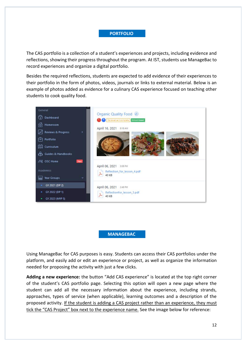#### **PORTFOLIO**

The CAS portfolio is a collection of a student's experiences and projects, including evidence and reflections, showing their progress throughout the program. At IST, students use ManageBac to record experiences and organize a digital portfolio.

Besides the required reflections, students are expected to add evidence of their experiences to their portfolio in the form of photos, videos, journals or links to external material. Below is an example of photos added as evidence for a culinary CAS experience focused on teaching other students to cook quality food.



#### **MANAGEBAC**

Using ManageBac for CAS purposes is easy. Students can access their CAS portfolios under the platform, and easily add or edit an experience or project, as well as organize the information needed for proposing the activity with just a few clicks.

**Adding a new experience:** the button "Add CAS experience" is located at the top right corner of the student's CAS portfolio page. Selecting this option will open a new page where the student can add all the necessary information about the experience, including strands, approaches, types of service (when applicable), learning outcomes and a description of the proposed activity. If the student is adding a CAS project rather than an experience, they must tick the "CAS Project" box next to the experience name. See the image below for reference: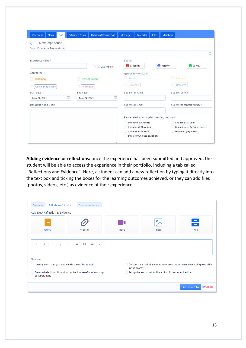| CAS<br>Overview<br>Plans<br>New Experience<br>$\leftarrow$ | <b>Extended Essay</b><br>Theory of Knowledge | <b>Messages</b><br>Calendar<br><b>Files</b>   | <b>Members</b>            |
|------------------------------------------------------------|----------------------------------------------|-----------------------------------------------|---------------------------|
| Select Experience From a Group                             |                                              |                                               |                           |
| Experience Name*                                           |                                              | Strands                                       |                           |
|                                                            | CAS Project                                  | Creativity                                    | Activity<br>Service       |
| Approaches                                                 |                                              | Type of Service Action                        |                           |
| Ongoing                                                    | School-based                                 | Direct                                        | <b>Indirect</b>           |
| Community-based                                            | Individual                                   | Advocacy                                      | Research                  |
| Start date*                                                | End date*                                    | Supervisor Name                               | Supervisor Title          |
| 醋<br>May 24, 2021                                          | 關<br>May 24, 2021                            |                                               |                           |
| Description and Goals                                      |                                              | Supervisor E-mail                             | Supervisor contact number |
|                                                            |                                              | Please select your targeted learning outcomes |                           |
|                                                            |                                              | Strength & Growth                             | Challenge & Skills        |
|                                                            |                                              | Initiative & Planning<br>Collaborative Skills | Commitment & Perseverance |
|                                                            |                                              | Ethics of Choices & Actions                   | Global Engagement         |
|                                                            |                                              |                                               |                           |

**Adding evidence or reflections:** once the experience has been submitted and approved, the student will be able to access the experience in their portfolio, including a tab called "Reflections and Evidence". Here, a student can add a new reflection by typing it directly into the text box and ticking the boxes for the learning outcomes achieved, or they can add files (photos, videos, etc.) as evidence of their experience.

| <b>Reflections &amp; Evidence</b><br>Summary<br>Add New Reflection & Evidence   | <b>Supervisor Review</b>                       |                |                                                                         |                                   |
|---------------------------------------------------------------------------------|------------------------------------------------|----------------|-------------------------------------------------------------------------|-----------------------------------|
| Journal                                                                         | Website                                        | Video          | Photos                                                                  | $\overline{\phantom{m}}$<br>File  |
| B<br>$\mathsf S$<br>$\underline{\mathsf{U}}$<br>$\overline{\phantom{0}}$        | $\mathbf{r}^{\prime}$<br>三<br>$\circ$ $\equiv$ |                |                                                                         |                                   |
| Outcomes                                                                        |                                                |                |                                                                         |                                   |
| Identify own strengths and develop areas for growth                             |                                                | in the process | Demonstrate that challenges have been undertaken, developing new skills |                                   |
| Demonstrate the skills and recognize the benefits of working<br>collaboratively |                                                |                | Recognize and consider the ethics of choices and actions                |                                   |
|                                                                                 |                                                |                |                                                                         | or Cancel<br><b>Add New Entry</b> |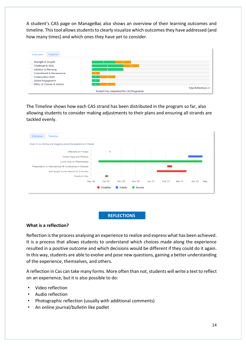A student's CAS page on ManageBac also shows an overview of their learning outcomes and timeline. This tool allows students to clearly visualize which outcomes they have addressed (and how many times) and which ones they have yet to consider.



The Timeline shows how each CAS strand has been distributed in the program so far, also allowing students to consider making adjustments to their plans and ensuring all strands are tackled evenly.



# **REFLECTIONS**

#### **What is a reflection?**

Reflection is the process analysing an experience to realize and express what has been achieved. It is a process that allows students to understand which choices made along the experience resulted in a positive outcome and which decisions would be different if they could do it again. In this way, students are able to evolve and pose new questions, gaining a better understanding of the experience, themselves, and others.

A reflection in Cas can take many forms. More often than not, students will write a text to reflect on an experience, but it is also possible to do:

- Video reflection
- Audio reflection
- Photographic reflection (usually with additional comments)
- An online journal/bulletin like padlet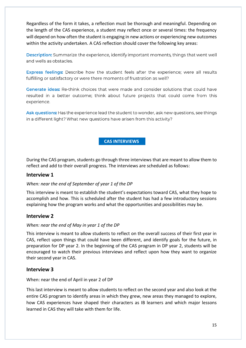Regardless of the form it takes, a reflection must be thorough and meaningful. Depending on the length of the CAS experience, a student may reflect once or several times: the frequency will depend on how often the student is engaging in new actions or experiencing new outcomes within the activity undertaken. A CAS reflection should cover the following key areas:

Description: Summarize the experience, identify important moments, things that went well and wells as obstacles.

Express feelings: Describe how the student feels after the experience; were all results fulfilling or satisfactory or were there moments of frustration as well?

Generate ideas: Re-think choices that were made and consider solutions that could have resulted in a better outcome; think about future projects that could come from this experience.

Ask questions: Has the experience lead the student to wonder, ask new questions, see things in a different light? What new questions have arisen from this activity?

# **CAS INTERVIEWS**

During the CAS program, students go through three interviews that are meant to allow them to reflect and add to their overall progress. The interviews are scheduled as follows:

# **Interview 1**

# *When: near the end of September of year 1 of the DP*

This interview is meant to establish the student's expectations toward CAS, what they hope to accomplish and how. This is scheduled after the student has had a few introductory sessions explaining how the program works and what the opportunities and possibilities may be.

# **Interview 2**

# *When: near the end of May in year 1 of the DP*

This interview is meant to allow students to reflect on the overall success of their first year in CAS, reflect upon things that could have been different, and identify goals for the future, in preparation for DP year 2. In the beginning of the CAS program in DP year 2, students will be encouraged to watch their previous interviews and reflect upon how they want to organize their second year in CAS.

# **Interview 3**

When: near the end of April in year 2 of DP

This last interview is meant to allow students to reflect on the second year and also look at the entire CAS program to identify areas in which they grew, new areas they managed to explore, how CAS experiences have shaped their characters as IB learners and which major lessons learned in CAS they will take with them for life.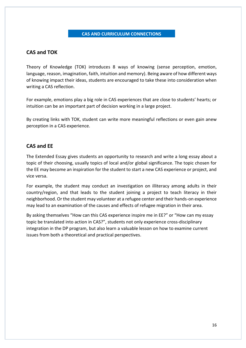# **CAS AND CURRICULUM CONNECTIONS**

# **CAS and TOK**

Theory of Knowledge (TOK) introduces 8 ways of knowing (sense perception, emotion, language, reason, imagination, faith, intuition and memory). Being aware of how different ways of knowing impact their ideas, students are encouraged to take these into consideration when writing a CAS reflection.

For example, emotions play a big role in CAS experiences that are close to students' hearts; or intuition can be an important part of decision working in a large project.

By creating links with TOK, student can write more meaningful reflections or even gain anew perception in a CAS experience.

# **CAS and EE**

The Extended Essay gives students an opportunity to research and write a long essay about a topic of their choosing, usually topics of local and/or global significance. The topic chosen for the EE may become an inspiration for the student to start a new CAS experience or project, and vice versa.

For example, the student may conduct an investigation on illiteracy among adults in their country/region, and that leads to the student joining a project to teach literacy in their neighborhood. Or the student may volunteer at a refugee center and their hands-on experience may lead to an examination of the causes and effects of refugee migration in their area.

By asking themselves "How can this CAS experience inspire me in EE?" or "How can my essay topic be translated into action in CAS?", students not only experience cross-disciplinary integration in the DP program, but also learn a valuable lesson on how to examine current issues from both a theoretical and practical perspectives.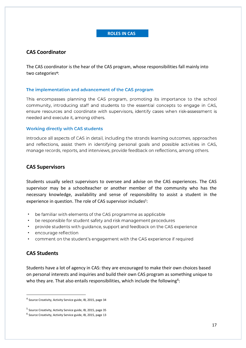# **ROLES IN CAS**

# **CAS Coordinator**

The CAS coordinator is the hear of the CAS program, whose responsibilities fall mainly into two categories<sup>4</sup>:

#### The implementation and advancement of the CAS program

This encompasses planning the CAS program, promoting its importance to the school community, introducing staff and students to the essential concepts to engage in CAS, ensure resources and coordinate with supervisors, identify cases when risk-assessment is needed and execute it, among others.

#### **Working directly with CAS students**

Introduce all aspects of CAS in detail, including the strands learning outcomes, approaches and reflections, assist them in identifying personal goals and possible activities in CAS, manage records, reports, and interviews, provide feedback on reflections, among others.

# **CAS Supervisors**

Students usually select supervisors to oversee and advise on the CAS experiences. The CAS supervisor may be a schoolteacher or another member of the community who has the necessary knowledge, availability and sense of responsibility to assist a student in the experience in question. The role of CAS supervisor includes<sup>5</sup>:

- be familiar with elements of the CAS programme as applicable •
- be responsible for student safety and risk management procedures •
- provide students with guidance, support and feedback on the CAS experience •
- encourage reflection •
- comment on the student's engagement with the CAS experience if required •

# **CAS Students**

Students have a lot of agency in CAS: they are encouraged to make their own choices based on personal interests and inquiries and build their own CAS program as something unique to who they are. That also entails responsibilities, which include the following<sup>6</sup>:

<sup>&</sup>lt;sup>4</sup> Source Creativity, Activity Service guide, IB, 2015, page 34

<sup>&</sup>lt;sup>5</sup> Source Creativity, Activity Service guide, IB, 2015, page 35

<sup>&</sup>lt;sup>6</sup> Source Creativity, Activity Service guide, IB, 2015, page 13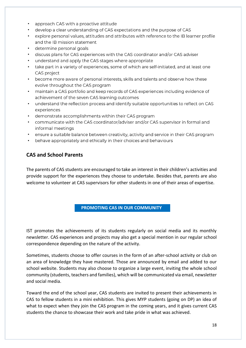- approach CAS with a proactive attitude •
- develop a clear understanding of CAS expectations and the purpose of CAS •
- explore personal values, attitudes and attributes with reference to the IB learner profile • and the IB mission statement
- determine personal goals •
- discuss plans for CAS experiences with the CAS coordinator and/or CAS adviser •
- understand and apply the CAS stages where appropriate •
- take part in a variety of experiences, some of which are self-initiated, and at least one • CAS project
- become more aware of personal interests, skills and talents and observe how these • evolve throughout the CAS program
- maintain a CAS portfolio and keep records of CAS experiences including evidence of • achievement of the seven CAS learning outcomes
- understand the reflection process and identify suitable opportunities to reflect on CAS experiences
- demonstrate accomplishments within their CAS program •
- communicate with the CAS coordinator/adviser and/or CAS supervisor in formal and informal meetings
- ensure a suitable balance between creativity, activity and service in their CAS program •
- behave appropriately and ethically in their choices and behaviours •

# **CAS and School Parents**

The parents of CAS students are encouraged to take an interest in their children's activities and provide support for the experiences they choose to undertake. Besides that, parents are also welcome to volunteer at CAS supervisors for other students in one of their areas of expertise.

# **PROMOTING CAS IN OUR COMMUNITY**

IST promotes the achievements of its students regularly on social media and its monthly newsletter. CAS experiences and projects may also get a special mention in our regular school correspondence depending on the nature of the activity.

Sometimes, students choose to offer courses in the form of an after-school activity or club on an area of knowledge they have mastered. Those are announced by email and added to our school website. Students may also choose to organize a large event, inviting the whole school community (students, teachers and families), which will be communicated via email, newsletter and social media.

Toward the end of the school year, CAS students are invited to present their achievements in CAS to fellow students in a mini exhibition. This gives MYP students (going on DP) an idea of what to expect when they join the CAS program in the coming years, and it gives current CAS students the chance to showcase their work and take pride in what was achieved.